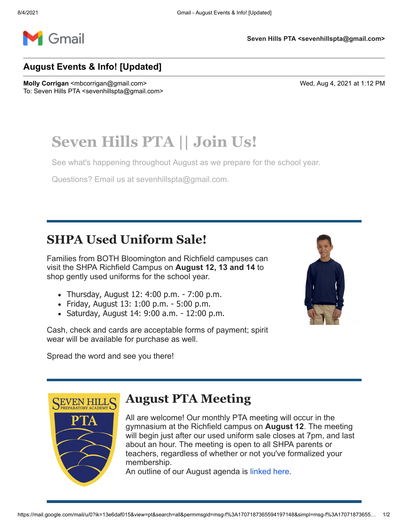

**Seven Hills PTA <sevenhillspta@gmail.com>**

#### **August Events & Info! [Updated]**

**Molly Corrigan** <mbcorrigan@gmail.com> Wed, Aug 4, 2021 at 1:12 PM To: Seven Hills PTA <sevenhillspta@gmail.com>

# **Seven Hills PTA || Join Us!**

See what's happening throughout August as we prepare for the school year.

Questions? Email us at [sevenhillspta@gmail.com.](mailto:sevenhillspta@gmail.com)

# **SHPA Used Uniform Sale!**

Families from BOTH Bloomington and Richfield campuses can visit the SHPA Richfield Campus on **August 12, 13 and 14** to shop gently used uniforms for the school year.

- Thursday, August 12: 4:00 p.m. 7:00 p.m.
- Friday, August 13: 1:00 p.m. 5:00 p.m.
- Saturday, August 14: 9:00 a.m. 12:00 p.m.

Cash, check and cards are acceptable forms of payment; spirit wear will be available for purchase as well.



Spread the word and see you there!



### **August PTA Meeting**

All are welcome! Our monthly PTA meeting will occur in the gymnasium at the Richfield campus on **August 12**. The meeting will begin just after our used uniform sale closes at 7pm, and last about an hour. The meeting is open to all SHPA parents or teachers, regardless of whether or not you've formalized your membership.

An outline of our August agenda is [linked here](http://email.membershiptoolkit.com/ls/click?upn=K7PL4rDx5Z7tgD-2FyIThAx6Us82RpxJaXVQf5yczzjcI2MjdUBtUc7bLOMxNevQ4kLqrHa-2BLmoMzbhTQ5TQjaP-2B7YmKFBAUhWCfMIXYO6nNHZdFs7A-2BeW1VqeCxwulJRkcS7vkfHsFv3ImZWAJrAkz78aCWyNYa3HHk-2F2muh9475E-2Fj2f5hmrExzhhWLeNzYoMhzF_01f6zPcqAYllPqk31-2BV7xYEqPuDiS2YCeKXpULlCqbfxVpE4xuoQw7NccjJ-2BodcMFkIwnk95HKQx1zEtL25gRY7ssbEPsJWKRyoy6YIbViBJqknC6s903sGren8ANmTS0-2FiKeIO4ffJGyh-2BjSLB9w5LL53jTKjZrE80aSoeuVzTgBprHUzwbgNMItHP9OA-2FurP5P5vVPfbr5wpR-2BNqbGgmj0e-2BGdT6GpUZQgqZNGKm1kNxHuitqWQs19ta03-2BSe-2FJCdIydStWviq5Z8xvd58001fYVqgMjwwB5Dhp7-2Bg7QwUXYDWRuxzhE4DOTcJGVtj2BroQ0qrrIfzEHbhqYewf-2F-2B-2BUT1Wi68xPaq0S7eqtIPiQA2FuLODJ60Uy2ey0t8v).